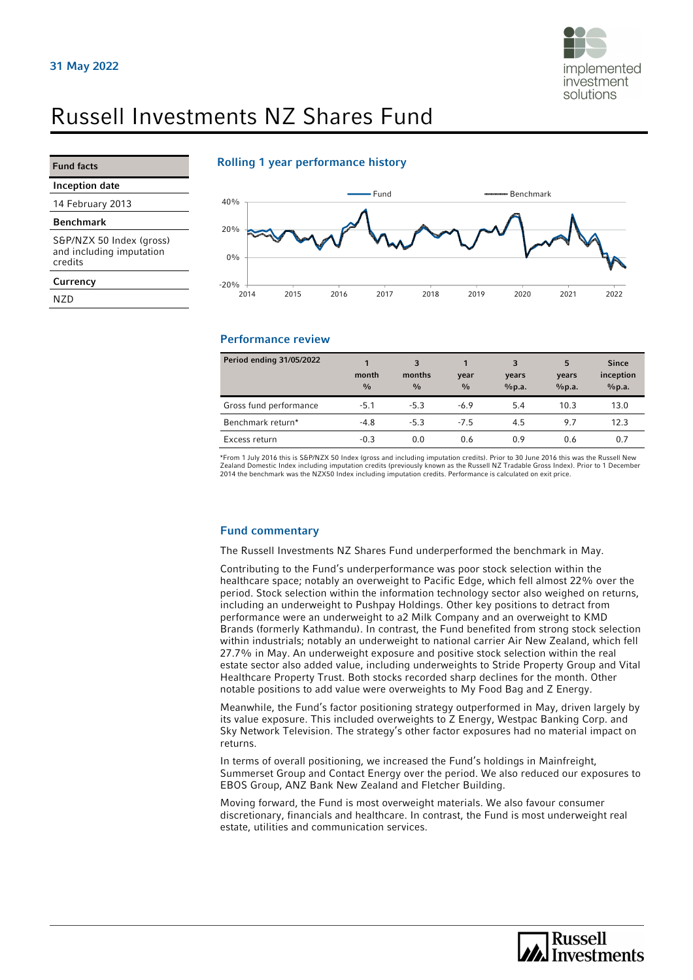

# Russell Investments NZ Shares Fund

Fund facts

credits **Currency** NZD

Inception date 14 February 2013 Benchmark

S&P/NZX 50 Index (gross) and including imputation

#### Rolling 1 year performance history



### Performance review

| Period ending 31/05/2022 | month<br>$\frac{0}{0}$ | 3<br>months<br>$\frac{0}{0}$ | year<br>$\frac{0}{0}$ | 3<br>years<br>%p.a. | 5<br>years<br>%p.a. | <b>Since</b><br>inception<br>%p.a. |
|--------------------------|------------------------|------------------------------|-----------------------|---------------------|---------------------|------------------------------------|
| Gross fund performance   | $-5.1$                 | $-5.3$                       | $-6.9$                | 5.4                 | 10.3                | 13.0                               |
| Benchmark return*        | $-4.8$                 | $-5.3$                       | $-7.5$                | 4.5                 | 9.7                 | 12.3                               |
| Excess return            | $-0.3$                 | 0.0                          | 0.6                   | 0.9                 | 0.6                 | 0.7                                |

\*From 1 July 2016 this is S&P/NZX 50 Index (gross and including imputation credits). Prior to 30 June 2016 this was the Russell New Zealand Domestic Index including imputation credits (previously known as the Russell NZ Tradable Gross Index). Prior to 1 December<br>2014 the benchmark was the NZX50 Index including imputation credits. Performance is calcula

#### Fund commentary

The Russell Investments NZ Shares Fund underperformed the benchmark in May.

Contributing to the Fund's underperformance was poor stock selection within the healthcare space; notably an overweight to Pacific Edge, which fell almost 22% over the period. Stock selection within the information technology sector also weighed on returns, including an underweight to Pushpay Holdings. Other key positions to detract from performance were an underweight to a2 Milk Company and an overweight to KMD Brands (formerly Kathmandu). In contrast, the Fund benefited from strong stock selection within industrials; notably an underweight to national carrier Air New Zealand, which fell 27.7% in May. An underweight exposure and positive stock selection within the real estate sector also added value, including underweights to Stride Property Group and Vital Healthcare Property Trust. Both stocks recorded sharp declines for the month. Other notable positions to add value were overweights to My Food Bag and Z Energy.

Meanwhile, the Fund's factor positioning strategy outperformed in May, driven largely by its value exposure. This included overweights to Z Energy, Westpac Banking Corp. and Sky Network Television. The strategy's other factor exposures had no material impact on returns.

In terms of overall positioning, we increased the Fund's holdings in Mainfreight, Summerset Group and Contact Energy over the period. We also reduced our exposures to EBOS Group, ANZ Bank New Zealand and Fletcher Building.

Moving forward, the Fund is most overweight materials. We also favour consumer discretionary, financials and healthcare. In contrast, the Fund is most underweight real estate, utilities and communication services.